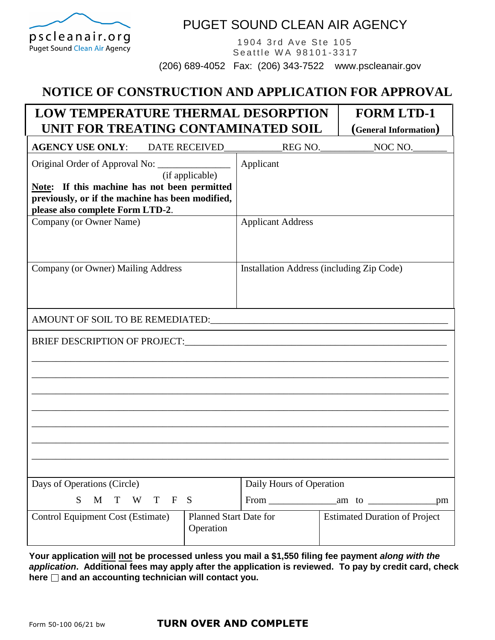

## PUGET SOUND CLEAN AIR AGENCY

1904 3rd Ave Ste 105 Seattle WA 98101-3317

(206) 689-4052 Fax: (206) 343-7522 www.pscleanair.gov

## **NOTICE OF CONSTRUCTION AND APPLICATION FOR APPROVAL**

| <b>LOW TEMPERATURE THERMAL DESORPTION</b><br><b>FORM LTD-1</b><br>UNIT FOR TREATING CONTAMINATED SOIL                                                                                                    |                                            |                                                                                                                      |  |                                      |     |
|----------------------------------------------------------------------------------------------------------------------------------------------------------------------------------------------------------|--------------------------------------------|----------------------------------------------------------------------------------------------------------------------|--|--------------------------------------|-----|
| <b>AGENCY USE ONLY:</b><br>DATE RECEIVED                                                                                                                                                                 |                                            | REG NO.                                                                                                              |  | (General Information)<br>NOC NO.     |     |
| Original Order of Approval No: ______________<br>(if applicable)<br>Note: If this machine has not been permitted<br>previously, or if the machine has been modified,<br>please also complete Form LTD-2. |                                            | Applicant                                                                                                            |  |                                      |     |
| Company (or Owner Name)                                                                                                                                                                                  |                                            | <b>Applicant Address</b>                                                                                             |  |                                      |     |
| Company (or Owner) Mailing Address                                                                                                                                                                       |                                            | Installation Address (including Zip Code)                                                                            |  |                                      |     |
|                                                                                                                                                                                                          |                                            |                                                                                                                      |  |                                      |     |
| <b>BRIEF DESCRIPTION OF PROJECT:</b>                                                                                                                                                                     |                                            | <u> 1989 - Johann Barbara, markazi bashkar mashrida ma'lumot olib tashkalarda olib tashkalarda boʻlgan boʻlgan b</u> |  |                                      |     |
|                                                                                                                                                                                                          |                                            |                                                                                                                      |  |                                      |     |
| Days of Operations (Circle)                                                                                                                                                                              |                                            | Daily Hours of Operation                                                                                             |  |                                      |     |
| M<br>T W<br>T —<br>S<br>$\mathbf{F}$<br>S                                                                                                                                                                |                                            |                                                                                                                      |  |                                      | .pm |
| <b>Control Equipment Cost (Estimate)</b>                                                                                                                                                                 | <b>Planned Start Date for</b><br>Operation |                                                                                                                      |  | <b>Estimated Duration of Project</b> |     |
|                                                                                                                                                                                                          |                                            |                                                                                                                      |  |                                      |     |

**Your application will not be processed unless you mail a \$1,550 filing fee payment** *along with the application***. Additional fees may apply after the application is reviewed. To pay by credit card, check here and an accounting technician will contact you.**